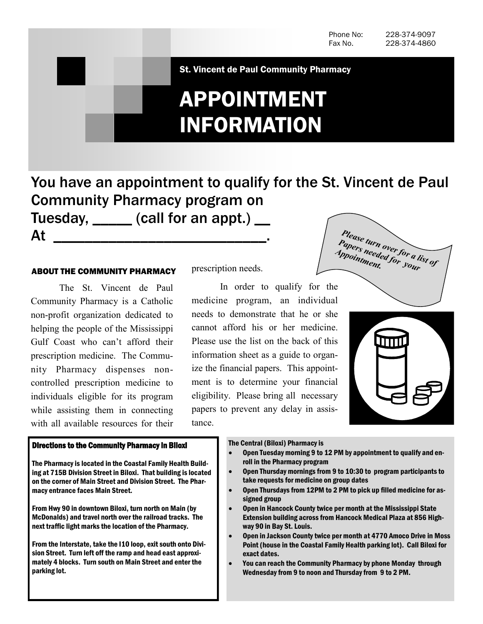St. Vincent de Paul Community Pharmacy

# APPOINTMENT INFORMATION

You have an appointment to qualify for the St. Vincent de Paul Community Pharmacy program on Tuesday, call for an appt.) \_\_

### ABOUT THE COMMUNITY PHARMACY

At \_\_\_\_\_\_\_\_\_\_\_\_\_\_\_\_\_\_\_\_\_\_\_\_\_\_\_.

The St. Vincent de Paul Community Pharmacy is a Catholic non-profit organization dedicated to helping the people of the Mississippi Gulf Coast who can't afford their prescription medicine. The Community Pharmacy dispenses noncontrolled prescription medicine to individuals eligible for its program while assisting them in connecting with all available resources for their

## Directions to the Community Pharmacy in Biloxi

The Pharmacy is located in the Coastal Family Health Building at 715B Division Street in Biloxi. That building is located on the corner of Main Street and Division Street. The Pharmacy entrance faces Main Street.

From Hwy 90 in downtown Biloxi, turn north on Main (by McDonalds) and travel north over the railroad tracks. The next traffic light marks the location of the Pharmacy.

From the Interstate, take the I10 loop, exit south onto Division Street. Turn left off the ramp and head east approximately 4 blocks. Turn south on Main Street and enter the parking lot.

prescription needs.

In order to qualify for the medicine program, an individual needs to demonstrate that he or she cannot afford his or her medicine. Please use the list on the back of this information sheet as a guide to organize the financial papers. This appointment is to determine your financial eligibility. Please bring all necessary papers to prevent any delay in assistance.





#### The Central (Biloxi) Pharmacy is

- Open Tuesday morning 9 to 12 PM by appointment to qualify and enroll in the Pharmacy program
	- Open Thursday mornings from 9 to 10:30 to program participants to take requests for medicine on group dates
	- Open Thursdays from 12PM to 2 PM to pick up filled medicine for assigned group
	- Open in Hancock County twice per month at the Mississippi State Extension building across from Hancock Medical Plaza at 856 Highway 90 in Bay St. Louis.
- Open in Jackson County twice per month at 4770 Amoco Drive in Moss Point (house in the Coastal Family Health parking lot). Call Biloxi for exact dates.
- You can reach the Community Pharmacy by phone Monday through Wednesday from 9 to noon and Thursday from 9 to 2 PM.